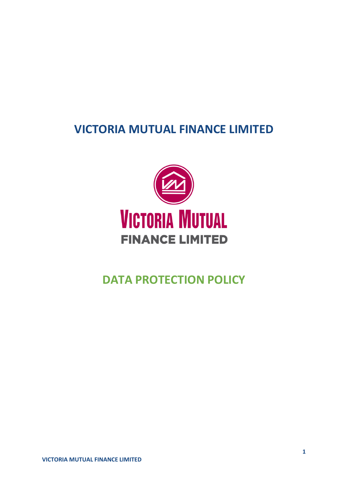# **VICTORIA MUTUAL FINANCE LIMITED**



# **DATA PROTECTION POLICY**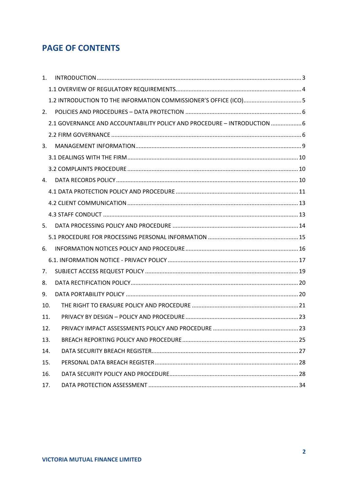# **PAGE OF CONTENTS**

| 1.  |                                                                          |  |
|-----|--------------------------------------------------------------------------|--|
|     |                                                                          |  |
|     | 1.2 INTRODUCTION TO THE INFORMATION COMMISSIONER'S OFFICE (ICO)5         |  |
| 2.  |                                                                          |  |
|     | 2.1 GOVERNANCE AND ACCOUNTABILITY POLICY AND PROCEDURE - INTRODUCTION  6 |  |
|     |                                                                          |  |
| 3.  |                                                                          |  |
|     |                                                                          |  |
|     |                                                                          |  |
| 4.  |                                                                          |  |
|     |                                                                          |  |
|     |                                                                          |  |
|     |                                                                          |  |
| 5.  |                                                                          |  |
|     |                                                                          |  |
| 6.  |                                                                          |  |
|     |                                                                          |  |
| 7.  |                                                                          |  |
| 8.  |                                                                          |  |
| 9.  |                                                                          |  |
| 10. |                                                                          |  |
| 11. |                                                                          |  |
| 12. |                                                                          |  |
| 13. |                                                                          |  |
| 14. |                                                                          |  |
| 15. |                                                                          |  |
| 16. |                                                                          |  |
| 17. |                                                                          |  |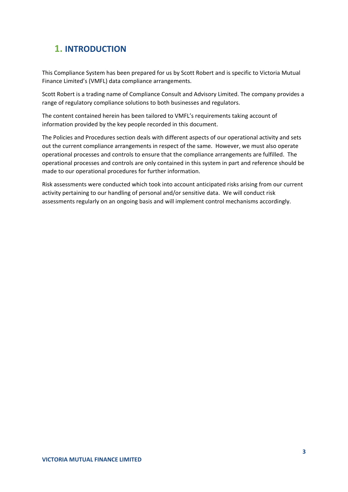# <span id="page-2-0"></span>**1. INTRODUCTION**

This Compliance System has been prepared for us by Scott Robert and is specific to Victoria Mutual Finance Limited's (VMFL) data compliance arrangements.

Scott Robert is a trading name of Compliance Consult and Advisory Limited. The company provides a range of regulatory compliance solutions to both businesses and regulators.

The content contained herein has been tailored to VMFL's requirements taking account of information provided by the key people recorded in this document.

The Policies and Procedures section deals with different aspects of our operational activity and sets out the current compliance arrangements in respect of the same. However, we must also operate operational processes and controls to ensure that the compliance arrangements are fulfilled. The operational processes and controls are only contained in this system in part and reference should be made to our operational procedures for further information.

Risk assessments were conducted which took into account anticipated risks arising from our current activity pertaining to our handling of personal and/or sensitive data. We will conduct risk assessments regularly on an ongoing basis and will implement control mechanisms accordingly.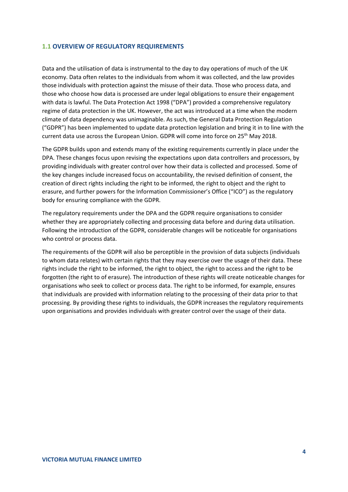### <span id="page-3-0"></span>**1.1 OVERVIEW OF REGULATORY REQUIREMENTS**

Data and the utilisation of data is instrumental to the day to day operations of much of the UK economy. Data often relates to the individuals from whom it was collected, and the law provides those individuals with protection against the misuse of their data. Those who process data, and those who choose how data is processed are under legal obligations to ensure their engagement with data is lawful. The Data Protection Act 1998 ("DPA") provided a comprehensive regulatory regime of data protection in the UK. However, the act was introduced at a time when the modern climate of data dependency was unimaginable. As such, the General Data Protection Regulation ("GDPR") has been implemented to update data protection legislation and bring it in to line with the current data use across the European Union. GDPR will come into force on 25<sup>th</sup> May 2018.

The GDPR builds upon and extends many of the existing requirements currently in place under the DPA. These changes focus upon revising the expectations upon data controllers and processors, by providing individuals with greater control over how their data is collected and processed. Some of the key changes include increased focus on accountability, the revised definition of consent, the creation of direct rights including the right to be informed, the right to object and the right to erasure, and further powers for the Information Commissioner's Office ("ICO") as the regulatory body for ensuring compliance with the GDPR.

The regulatory requirements under the DPA and the GDPR require organisations to consider whether they are appropriately collecting and processing data before and during data utilisation. Following the introduction of the GDPR, considerable changes will be noticeable for organisations who control or process data.

The requirements of the GDPR will also be perceptible in the provision of data subjects (individuals to whom data relates) with certain rights that they may exercise over the usage of their data. These rights include the right to be informed, the right to object, the right to access and the right to be forgotten (the right to of erasure). The introduction of these rights will create noticeable changes for organisations who seek to collect or process data. The right to be informed, for example, ensures that individuals are provided with information relating to the processing of their data prior to that processing. By providing these rights to individuals, the GDPR increases the regulatory requirements upon organisations and provides individuals with greater control over the usage of their data.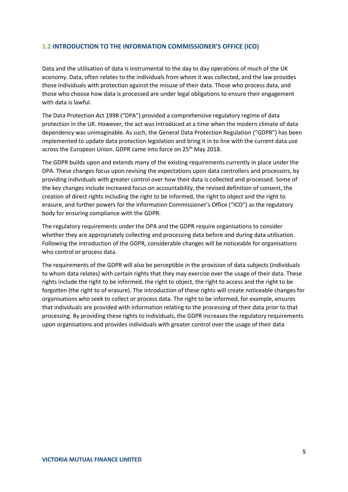### <span id="page-4-0"></span>**1.2 INTRODUCTION TO THE INFORMATION COMMISSIONER'S OFFICE (ICO)**

Data and the utilisation of data is instrumental to the day to day operations of much of the UK economy. Data, often relates to the individuals from whom it was collected, and the law provides those individuals with protection against the misuse of their data. Those who process data, and those who choose how data is processed are under legal obligations to ensure their engagement with data is lawful.

The Data Protection Act 1998 ("DPA") provided a comprehensive regulatory regime of data protection in the UK. However, the act was introduced at a time when the modern climate of data dependency was unimaginable. As such, the General Data Protection Regulation ("GDPR") has been implemented to update data protection legislation and bring it in to line with the current data use across the European Union. GDPR came into force on 25<sup>th</sup> May 2018.

The GDPR builds upon and extends many of the existing requirements currently in place under the DPA. These changes focus upon revising the expectations upon data controllers and processors, by providing individuals with greater control over how their data is collected and processed. Some of the key changes include increased focus on accountability, the revised definition of consent, the creation of direct rights including the right to be informed, the right to object and the right to erasure, and further powers for the Information Commissioner's Office ("ICO") as the regulatory body for ensuring compliance with the GDPR.

The regulatory requirements under the DPA and the GDPR require organisations to consider whether they are appropriately collecting and processing data before and during data utilisation. Following the introduction of the GDPR, considerable changes will be noticeable for organisations who control or process data.

The requirements of the GDPR will also be perceptible in the provision of data subjects (individuals to whom data relates) with certain rights that they may exercise over the usage of their data. These rights include the right to be informed, the right to object, the right to access and the right to be forgotten (the right to of erasure). The introduction of these rights will create noticeable changes for organisations who seek to collect or process data. The right to be informed, for example, ensures that individuals are provided with information relating to the processing of their data prior to that processing. By providing these rights to individuals, the GDPR increases the regulatory requirements upon organisations and provides individuals with greater control over the usage of their data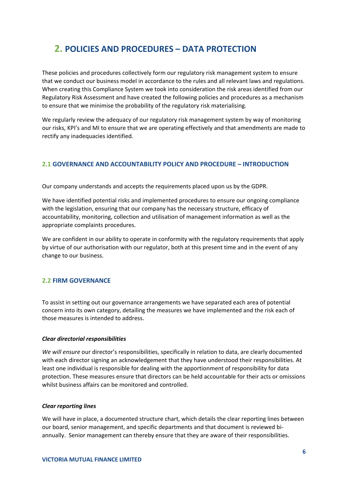# <span id="page-5-0"></span>**2. POLICIES AND PROCEDURES – DATA PROTECTION**

These policies and procedures collectively form our regulatory risk management system to ensure that we conduct our business model in accordance to the rules and all relevant laws and regulations. When creating this Compliance System we took into consideration the risk areas identified from our Regulatory Risk Assessment and have created the following policies and procedures as a mechanism to ensure that we minimise the probability of the regulatory risk materialising.

We regularly review the adequacy of our regulatory risk management system by way of monitoring our risks, KPI's and MI to ensure that we are operating effectively and that amendments are made to rectify any inadequacies identified*.* 

### <span id="page-5-1"></span>**2.1 GOVERNANCE AND ACCOUNTABILITY POLICY AND PROCEDURE – INTRODUCTION**

Our company understands and accepts the requirements placed upon us by the GDPR.

We have identified potential risks and implemented procedures to ensure our ongoing compliance with the legislation, ensuring that our company has the necessary structure, efficacy of accountability, monitoring, collection and utilisation of management information as well as the appropriate complaints procedures.

We are confident in our ability to operate in conformity with the regulatory requirements that apply by virtue of our authorisation with our regulator, both at this present time and in the event of any change to our business.

### <span id="page-5-2"></span>**2.2 FIRM GOVERNANCE**

To assist in setting out our governance arrangements we have separated each area of potential concern into its own category, detailing the measures we have implemented and the risk each of those measures is intended to address.

### *Clear directorial responsibilities*

*We will ensure* our director's responsibilities, specifically in relation to data, are clearly documented with each director signing an acknowledgement that they have understood their responsibilities. At least one individual is responsible for dealing with the apportionment of responsibility for data protection. These measures ensure that directors can be held accountable for their acts or omissions whilst business affairs can be monitored and controlled.

### *Clear reporting lines*

We will have in place, a documented structure chart, which details the clear reporting lines between our board, senior management, and specific departments and that document is reviewed biannually. Senior management can thereby ensure that they are aware of their responsibilities.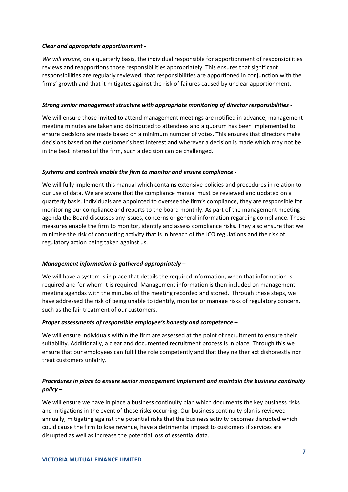### *Clear and appropriate apportionment -*

*We will ensure,* on a quarterly basis, the individual responsible for apportionment of responsibilities reviews and reapportions those responsibilities appropriately. This ensures that significant responsibilities are regularly reviewed, that responsibilities are apportioned in conjunction with the firms' growth and that it mitigates against the risk of failures caused by unclear apportionment.

### *Strong senior management structure with appropriate monitoring of director responsibilities -*

We will ensure those invited to attend management meetings are notified in advance, management meeting minutes are taken and distributed to attendees and a quorum has been implemented to ensure decisions are made based on a minimum number of votes. This ensures that directors make decisions based on the customer's best interest and wherever a decision is made which may not be in the best interest of the firm, such a decision can be challenged.

### *Systems and controls enable the firm to monitor and ensure compliance -*

We will fully implement this manual which contains extensive policies and procedures in relation to our use of data. We are aware that the compliance manual must be reviewed and updated on a quarterly basis. Individuals are appointed to oversee the firm's compliance, they are responsible for monitoring our compliance and reports to the board monthly. As part of the management meeting agenda the Board discusses any issues, concerns or general information regarding compliance. These measures enable the firm to monitor, identify and assess compliance risks. They also ensure that we minimise the risk of conducting activity that is in breach of the ICO regulations and the risk of regulatory action being taken against us.

### *Management information is gathered appropriately* –

We will have a system is in place that details the required information, when that information is required and for whom it is required. Management information is then included on management meeting agendas with the minutes of the meeting recorded and stored. Through these steps, we have addressed the risk of being unable to identify, monitor or manage risks of regulatory concern, such as the fair treatment of our customers.

### *Proper assessments of responsible employee's honesty and competence –*

We will ensure individuals within the firm are assessed at the point of recruitment to ensure their suitability. Additionally, a clear and documented recruitment process is in place. Through this we ensure that our employees can fulfil the role competently and that they neither act dishonestly nor treat customers unfairly.

### *Procedures in place to ensure senior management implement and maintain the business continuity policy –*

We will ensure we have in place a business continuity plan which documents the key business risks and mitigations in the event of those risks occurring. Our business continuity plan is reviewed annually, mitigating against the potential risks that the business activity becomes disrupted which could cause the firm to lose revenue, have a detrimental impact to customers if services are disrupted as well as increase the potential loss of essential data.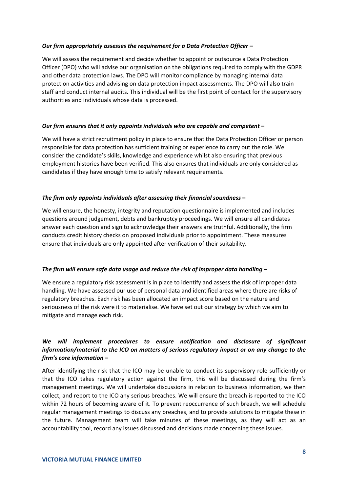### *Our firm appropriately assesses the requirement for a Data Protection Officer –*

We will assess the requirement and decide whether to appoint or outsource a Data Protection Officer (DPO) who will advise our organisation on the obligations required to comply with the GDPR and other data protection laws. The DPO will monitor compliance by managing internal data protection activities and advising on data protection impact assessments. The DPO will also train staff and conduct internal audits. This individual will be the first point of contact for the supervisory authorities and individuals whose data is processed.

### *Our firm ensures that it only appoints individuals who are capable and competent* **–**

We will have a strict recruitment policy in place to ensure that the Data Protection Officer or person responsible for data protection has sufficient training or experience to carry out the role. We consider the candidate's skills, knowledge and experience whilst also ensuring that previous employment histories have been verified. This also ensures that individuals are only considered as candidates if they have enough time to satisfy relevant requirements.

### *The firm only appoints individuals after assessing their financial soundness* **–**

We will ensure, the honesty, integrity and reputation questionnaire is implemented and includes questions around judgement, debts and bankruptcy proceedings. We will ensure all candidates answer each question and sign to acknowledge their answers are truthful. Additionally, the firm conducts credit history checks on proposed individuals prior to appointment. These measures ensure that individuals are only appointed after verification of their suitability.

### *The firm will ensure safe data usage and reduce the risk of improper data handling –*

We ensure a regulatory risk assessment is in place to identify and assess the risk of improper data handling. We have assessed our use of personal data and identified areas where there are risks of regulatory breaches. Each risk has been allocated an impact score based on the nature and seriousness of the risk were it to materialise. We have set out our strategy by which we aim to mitigate and manage each risk.

### *We will implement procedures to ensure notification and disclosure of significant information/material to the ICO on matters of serious regulatory impact or on any change to the firm's core information –*

After identifying the risk that the ICO may be unable to conduct its supervisory role sufficiently or that the ICO takes regulatory action against the firm, this will be discussed during the firm's management meetings. We will undertake discussions in relation to business information, we then collect, and report to the ICO any serious breaches. We will ensure the breach is reported to the ICO within 72 hours of becoming aware of it. To prevent reoccurrence of such breach, we will schedule regular management meetings to discuss any breaches, and to provide solutions to mitigate these in the future. Management team will take minutes of these meetings, as they will act as an accountability tool, record any issues discussed and decisions made concerning these issues.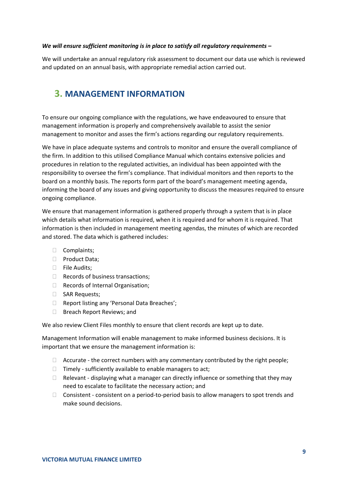### *We will ensure sufficient monitoring is in place to satisfy all regulatory requirements –*

We will undertake an annual regulatory risk assessment to document our data use which is reviewed and updated on an annual basis, with appropriate remedial action carried out.

### <span id="page-8-0"></span>**3. MANAGEMENT INFORMATION**

To ensure our ongoing compliance with the regulations, we have endeavoured to ensure that management information is properly and comprehensively available to assist the senior management to monitor and asses the firm's actions regarding our regulatory requirements.

We have in place adequate systems and controls to monitor and ensure the overall compliance of the firm. In addition to this utilised Compliance Manual which contains extensive policies and procedures in relation to the regulated activities, an individual has been appointed with the responsibility to oversee the firm's compliance. That individual monitors and then reports to the board on a monthly basis. The reports form part of the board's management meeting agenda, informing the board of any issues and giving opportunity to discuss the measures required to ensure ongoing compliance.

We ensure that management information is gathered properly through a system that is in place which details what information is required, when it is required and for whom it is required. That information is then included in management meeting agendas, the minutes of which are recorded and stored. The data which is gathered includes:

- $\Box$  Complaints;
- D Product Data;
- $\Box$  File Audits:
- $\Box$  Records of business transactions;
- □ Records of Internal Organisation:
- SAR Requests;
- □ Report listing any 'Personal Data Breaches';
- □ Breach Report Reviews; and

We also review Client Files monthly to ensure that client records are kept up to date.

Management Information will enable management to make informed business decisions. It is important that we ensure the management information is:

- $\Box$  Accurate the correct numbers with any commentary contributed by the right people;
- $\Box$  Timely sufficiently available to enable managers to act;
- $\Box$  Relevant displaying what a manager can directly influence or something that they may need to escalate to facilitate the necessary action; and
- $\Box$  Consistent consistent on a period-to-period basis to allow managers to spot trends and make sound decisions.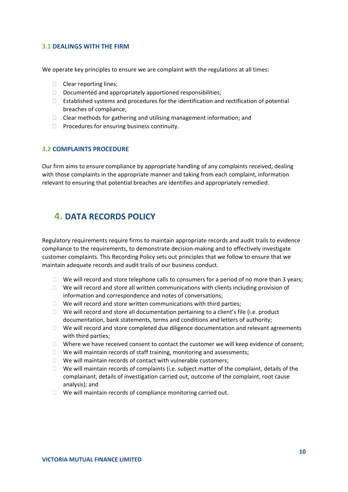### <span id="page-9-0"></span>**3.1 DEALINGS WITH THE FIRM**

We operate key principles to ensure we are complaint with the regulations at all times:

- $\Box$  Clear reporting lines;
- $\Box$  Documented and appropriately apportioned responsibilities;
- $\Box$  Established systems and procedures for the identification and rectification of potential breaches of compliance;
- $\Box$  Clear methods for gathering and utilising management information; and
- $\Box$  Procedures for ensuring business continuity.

### <span id="page-9-1"></span>**3.2 COMPLAINTS PROCEDURE**

Our firm aims to ensure compliance by appropriate handling of any complaints received, dealing with those complaints in the appropriate manner and taking from each complaint, information relevant to ensuring that potential breaches are identifies and appropriately remedied.

### <span id="page-9-2"></span>**4. DATA RECORDS POLICY**

Regulatory requirements require firms to maintain appropriate records and audit trails to evidence compliance to the requirements, to demonstrate decision-making and to effectively investigate customer complaints. This Recording Policy sets out principles that we follow to ensure that we maintain adequate records and audit trails of our business conduct.

- $\Box$  We will record and store telephone calls to consumers for a period of no more than 3 years;
- $\Box$  We will record and store all written communications with clients including provision of information and correspondence and notes of conversations;
- $\Box$  We will record and store written communications with third parties;
- $\Box$  We will record and store all documentation pertaining to a client's file (i.e. product documentation, bank statements, terms and conditions and letters of authority;
- $\Box$  We will record and store completed due diligence documentation and relevant agreements with third parties;
- $\Box$  Where we have received consent to contact the customer we will keep evidence of consent;
- $\Box$  We will maintain records of staff training, monitoring and assessments;
- $\Box$  We will maintain records of contact with vulnerable customers;
- $\Box$  We will maintain records of complaints (i.e. subject matter of the complaint, details of the complainant, details of investigation carried out, outcome of the complaint, root cause analysis); and
- $\Box$  We will maintain records of compliance monitoring carried out.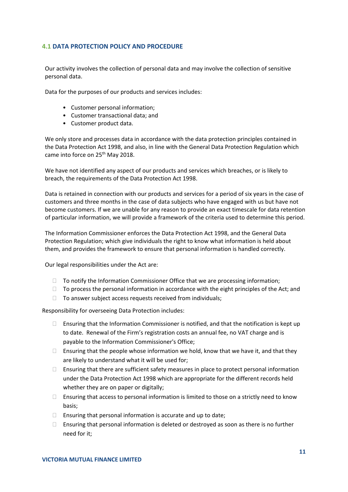### <span id="page-10-0"></span>**4.1 DATA PROTECTION POLICY AND PROCEDURE**

Our activity involves the collection of personal data and may involve the collection of sensitive personal data.

Data for the purposes of our products and services includes:

- Customer personal information;
- Customer transactional data; and
- Customer product data.

We only store and processes data in accordance with the data protection principles contained in the Data Protection Act 1998, and also, in line with the General Data Protection Regulation which came into force on 25<sup>th</sup> May 2018.

We have not identified any aspect of our products and services which breaches, or is likely to breach, the requirements of the Data Protection Act 1998.

Data is retained in connection with our products and services for a period of six years in the case of customers and three months in the case of data subjects who have engaged with us but have not become customers. If we are unable for any reason to provide an exact timescale for data retention of particular information, we will provide a framework of the criteria used to determine this period.

The Information Commissioner enforces the Data Protection Act 1998, and the General Data Protection Regulation; which give individuals the right to know what information is held about them, and provides the framework to ensure that personal information is handled correctly.

Our legal responsibilities under the Act are:

- $\Box$  To notify the Information Commissioner Office that we are processing information:
- $\Box$  To process the personal information in accordance with the eight principles of the Act; and
- $\Box$  To answer subject access requests received from individuals:

Responsibility for overseeing Data Protection includes:

- $\Box$  Ensuring that the Information Commissioner is notified, and that the notification is kept up to date. Renewal of the Firm's registration costs an annual fee, no VAT charge and is payable to the Information Commissioner's Office;
- $\Box$  Ensuring that the people whose information we hold, know that we have it, and that they are likely to understand what it will be used for;
- $\Box$  Ensuring that there are sufficient safety measures in place to protect personal information under the Data Protection Act 1998 which are appropriate for the different records held whether they are on paper or digitally:
- $\Box$  Ensuring that access to personal information is limited to those on a strictly need to know basis;
- $\Box$  Ensuring that personal information is accurate and up to date;
- $\Box$  Ensuring that personal information is deleted or destroyed as soon as there is no further need for it;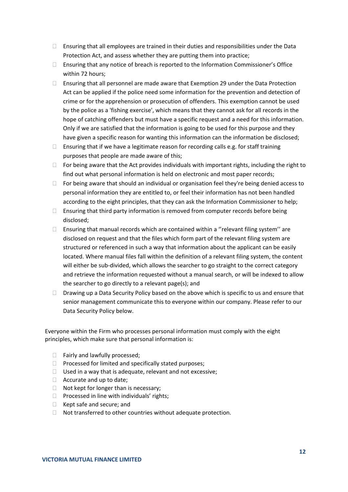- $\Box$  Ensuring that all employees are trained in their duties and responsibilities under the Data Protection Act, and assess whether they are putting them into practice;
- Ensuring that any notice of breach is reported to the Information Commissioner's Office within 72 hours;
- $\Box$  Ensuring that all personnel are made aware that Exemption 29 under the Data Protection Act can be applied if the police need some information for the prevention and detection of crime or for the apprehension or prosecution of offenders. This exemption cannot be used by the police as a 'fishing exercise', which means that they cannot ask for all records in the hope of catching offenders but must have a specific request and a need for this information. Only if we are satisfied that the information is going to be used for this purpose and they have given a specific reason for wanting this information can the information be disclosed;
- $\Box$  Ensuring that if we have a legitimate reason for recording calls e.g. for staff training purposes that people are made aware of this;
- $\Box$  For being aware that the Act provides individuals with important rights, including the right to find out what personal information is held on electronic and most paper records;
- $\Box$  For being aware that should an individual or organisation feel they're being denied access to personal information they are entitled to, or feel their information has not been handled according to the eight principles, that they can ask the Information Commissioner to help;
- $\Box$  Ensuring that third party information is removed from computer records before being disclosed;
- $\Box$  Ensuring that manual records which are contained within a "relevant filing system" are disclosed on request and that the files which form part of the relevant filing system are structured or referenced in such a way that information about the applicant can be easily located. Where manual files fall within the definition of a relevant filing system, the content will either be sub-divided, which allows the searcher to go straight to the correct category and retrieve the information requested without a manual search, or will be indexed to allow the searcher to go directly to a relevant page(s); and
- $\Box$  Drawing up a Data Security Policy based on the above which is specific to us and ensure that senior management communicate this to everyone within our company. Please refer to our Data Security Policy below.

Everyone within the Firm who processes personal information must comply with the eight principles, which make sure that personal information is:

- $\Box$  Fairly and lawfully processed:
- $\Box$  Processed for limited and specifically stated purposes;
- $\Box$  Used in a way that is adequate, relevant and not excessive;
- $\Box$  Accurate and up to date;
- $\Box$  Not kept for longer than is necessary;
- $\Box$  Processed in line with individuals' rights;
- $\Box$  Kept safe and secure; and
- $\Box$  Not transferred to other countries without adequate protection.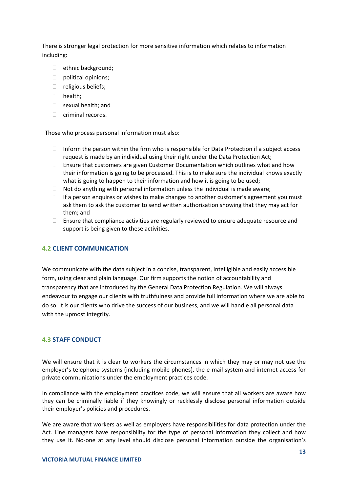There is stronger legal protection for more sensitive information which relates to information including:

- $\Box$  ethnic background;
- $\Box$  political opinions;
- $\Box$  religious beliefs;
- □ health;
- $\Box$  sexual health; and
- $\Box$  criminal records.

Those who process personal information must also:

- $\Box$  Inform the person within the firm who is responsible for Data Protection if a subject access request is made by an individual using their right under the Data Protection Act;
- $\Box$  Ensure that customers are given Customer Documentation which outlines what and how their information is going to be processed. This is to make sure the individual knows exactly what is going to happen to their information and how it is going to be used;
- $\Box$  Not do anything with personal information unless the individual is made aware;
- $\Box$  If a person enquires or wishes to make changes to another customer's agreement you must ask them to ask the customer to send written authorisation showing that they may act for them; and
- $\Box$  Ensure that compliance activities are regularly reviewed to ensure adequate resource and support is being given to these activities.

### <span id="page-12-0"></span>**4.2 CLIENT COMMUNICATION**

We communicate with the data subject in a concise, transparent, intelligible and easily accessible form, using clear and plain language. Our firm supports the notion of accountability and transparency that are introduced by the General Data Protection Regulation. We will always endeavour to engage our clients with truthfulness and provide full information where we are able to do so. It is our clients who drive the success of our business, and we will handle all personal data with the upmost integrity.

### <span id="page-12-1"></span>**4.3 STAFF CONDUCT**

We will ensure that it is clear to workers the circumstances in which they may or may not use the employer's telephone systems (including mobile phones), the e-mail system and internet access for private communications under the employment practices code.

In compliance with the employment practices code, we will ensure that all workers are aware how they can be criminally liable if they knowingly or recklessly disclose personal information outside their employer's policies and procedures.

We are aware that workers as well as employers have responsibilities for data protection under the Act. Line managers have responsibility for the type of personal information they collect and how they use it. No-one at any level should disclose personal information outside the organisation's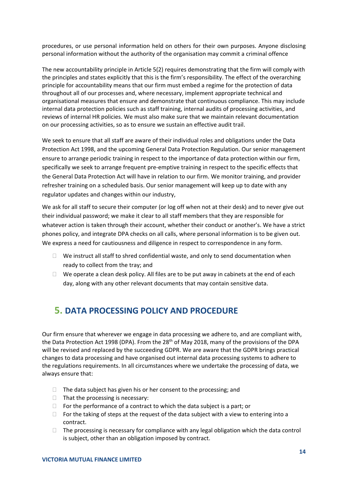procedures, or use personal information held on others for their own purposes. Anyone disclosing personal information without the authority of the organisation may commit a criminal offence

The new accountability principle in Article 5(2) requires demonstrating that the firm will comply with the principles and states explicitly that this is the firm's responsibility. The effect of the overarching principle for accountability means that our firm must embed a regime for the protection of data throughout all of our processes and, where necessary, implement appropriate technical and organisational measures that ensure and demonstrate that continuous compliance. This may include internal data protection policies such as staff training, internal audits of processing activities, and reviews of internal HR policies. We must also make sure that we maintain relevant documentation on our processing activities, so as to ensure we sustain an effective audit trail.

We seek to ensure that all staff are aware of their individual roles and obligations under the Data Protection Act 1998, and the upcoming General Data Protection Regulation. Our senior management ensure to arrange periodic training in respect to the importance of data protection within our firm, specifically we seek to arrange frequent pre-emptive training in respect to the specific effects that the General Data Protection Act will have in relation to our firm. We monitor training, and provider refresher training on a scheduled basis. Our senior management will keep up to date with any regulator updates and changes within our industry,

We ask for all staff to secure their computer (or log off when not at their desk) and to never give out their individual password; we make it clear to all staff members that they are responsible for whatever action is taken through their account, whether their conduct or another's. We have a strict phones policy, and integrate DPA checks on all calls, where personal information is to be given out. We express a need for cautiousness and diligence in respect to correspondence in any form.

- $\Box$  We instruct all staff to shred confidential waste, and only to send documentation when ready to collect from the tray; and
- $\Box$  We operate a clean desk policy. All files are to be put away in cabinets at the end of each day, along with any other relevant documents that may contain sensitive data.

# <span id="page-13-0"></span>**5. DATA PROCESSING POLICY AND PROCEDURE**

Our firm ensure that wherever we engage in data processing we adhere to, and are compliant with, the Data Protection Act 1998 (DPA). From the 28<sup>th</sup> of May 2018, many of the provisions of the DPA will be revised and replaced by the succeeding GDPR. We are aware that the GDPR brings practical changes to data processing and have organised out internal data processing systems to adhere to the regulations requirements. In all circumstances where we undertake the processing of data, we always ensure that:

- $\Box$  The data subject has given his or her consent to the processing; and
- $\Box$  That the processing is necessary:
- $\Box$  For the performance of a contract to which the data subject is a part; or
- $\Box$  For the taking of steps at the request of the data subject with a view to entering into a contract.
- $\Box$  The processing is necessary for compliance with any legal obligation which the data control is subject, other than an obligation imposed by contract.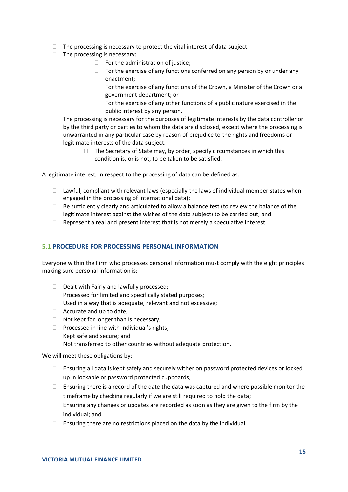- $\Box$  The processing is necessary to protect the vital interest of data subject.
- $\Box$  The processing is necessary:
	- $\Box$  For the administration of justice;
	- $\Box$  For the exercise of any functions conferred on any person by or under any enactment;
	- $\Box$  For the exercise of any functions of the Crown, a Minister of the Crown or a government department; or
	- $\Box$  For the exercise of any other functions of a public nature exercised in the public interest by any person.
- $\Box$  The processing is necessary for the purposes of legitimate interests by the data controller or by the third party or parties to whom the data are disclosed, except where the processing is unwarranted in any particular case by reason of prejudice to the rights and freedoms or legitimate interests of the data subject.
	- $\Box$  The Secretary of State may, by order, specify circumstances in which this condition is, or is not, to be taken to be satisfied.

A legitimate interest, in respect to the processing of data can be defined as:

- $\Box$  Lawful, compliant with relevant laws (especially the laws of individual member states when engaged in the processing of international data);
- $\Box$  Be sufficiently clearly and articulated to allow a balance test (to review the balance of the legitimate interest against the wishes of the data subject) to be carried out; and
- $\Box$  Represent a real and present interest that is not merely a speculative interest.

### <span id="page-14-0"></span>**5.1 PROCEDURE FOR PROCESSING PERSONAL INFORMATION**

Everyone within the Firm who processes personal information must comply with the eight principles making sure personal information is:

- $\Box$  Dealt with Fairly and lawfully processed:
- $\Box$  Processed for limited and specifically stated purposes;
- $\Box$  Used in a way that is adequate, relevant and not excessive;
- $\Box$  Accurate and up to date:
- $\Box$  Not kept for longer than is necessary;
- $\Box$  Processed in line with individual's rights;
- □ Kept safe and secure; and
- $\Box$  Not transferred to other countries without adequate protection.

We will meet these obligations by:

- $\Box$  Ensuring all data is kept safely and securely wither on password protected devices or locked up in lockable or password protected cupboards;
- $\Box$  Ensuring there is a record of the date the data was captured and where possible monitor the timeframe by checking regularly if we are still required to hold the data;
- $\Box$  Ensuring any changes or updates are recorded as soon as they are given to the firm by the individual; and
- $\Box$  Ensuring there are no restrictions placed on the data by the individual.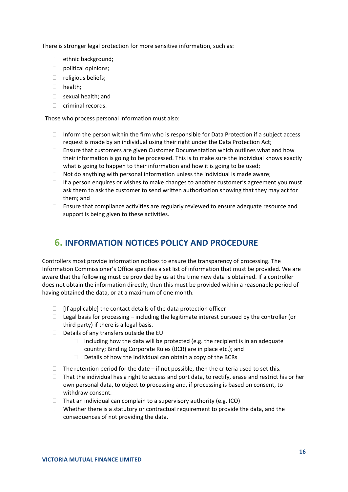There is stronger legal protection for more sensitive information, such as:

- $\Box$  ethnic background:
- $\Box$  political opinions;
- $\Box$  religious beliefs;
- □ health:
- □ sexual health; and
- $\Box$  criminal records.

Those who process personal information must also:

- $\Box$  Inform the person within the firm who is responsible for Data Protection if a subject access request is made by an individual using their right under the Data Protection Act;
- $\Box$  Ensure that customers are given Customer Documentation which outlines what and how their information is going to be processed. This is to make sure the individual knows exactly what is going to happen to their information and how it is going to be used;
- $\Box$  Not do anything with personal information unless the individual is made aware;
- $\Box$  If a person enquires or wishes to make changes to another customer's agreement you must ask them to ask the customer to send written authorisation showing that they may act for them; and
- $\Box$  Ensure that compliance activities are regularly reviewed to ensure adequate resource and support is being given to these activities.

# <span id="page-15-0"></span>**6. INFORMATION NOTICES POLICY AND PROCEDURE**

Controllers most provide information notices to ensure the transparency of processing. The Information Commissioner's Office specifies a set list of information that must be provided. We are aware that the following must be provided by us at the time new data is obtained. If a controller does not obtain the information directly, then this must be provided within a reasonable period of having obtained the data, or at a maximum of one month.

- $\Box$  [If applicable] the contact details of the data protection officer
- $\Box$  Legal basis for processing including the legitimate interest pursued by the controller (or third party) if there is a legal basis.
- $\Box$  Details of any transfers outside the EU
	- $\Box$  Including how the data will be protected (e.g. the recipient is in an adequate country; Binding Corporate Rules (BCR) are in place etc.); and
	- $\Box$  Details of how the individual can obtain a copy of the BCRs
- $\Box$  The retention period for the date if not possible, then the criteria used to set this.
- $\Box$  That the individual has a right to access and port data, to rectify, erase and restrict his or her own personal data, to object to processing and, if processing is based on consent, to withdraw consent.
- $\Box$  That an individual can complain to a supervisory authority (e.g. ICO)
- $\Box$  Whether there is a statutory or contractual requirement to provide the data, and the consequences of not providing the data.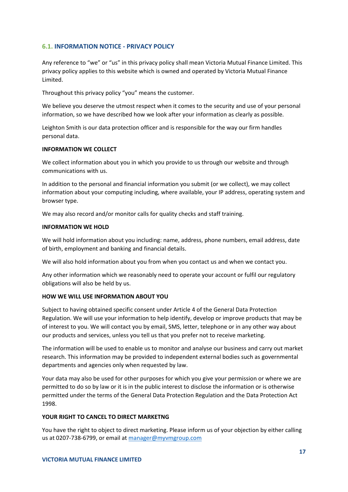### <span id="page-16-0"></span>**6.1. INFORMATION NOTICE - PRIVACY POLICY**

Any reference to "we" or "us" in this privacy policy shall mean Victoria Mutual Finance Limited. This privacy policy applies to this website which is owned and operated by Victoria Mutual Finance Limited.

Throughout this privacy policy "you" means the customer.

We believe you deserve the utmost respect when it comes to the security and use of your personal information, so we have described how we look after your information as clearly as possible.

Leighton Smith is our data protection officer and is responsible for the way our firm handles personal data.

### **INFORMATION WE COLLECT**

We collect information about you in which you provide to us through our website and through communications with us.

In addition to the personal and financial information you submit (or we collect), we may collect information about your computing including, where available, your IP address, operating system and browser type.

We may also record and/or monitor calls for quality checks and staff training.

### **INFORMATION WE HOLD**

We will hold information about you including: name, address, phone numbers, email address, date of birth, employment and banking and financial details.

We will also hold information about you from when you contact us and when we contact you.

Any other information which we reasonably need to operate your account or fulfil our regulatory obligations will also be held by us.

### **HOW WE WILL USE INFORMATION ABOUT YOU**

Subject to having obtained specific consent under Article 4 of the General Data Protection Regulation. We will use your information to help identify, develop or improve products that may be of interest to you. We will contact you by email, SMS, letter, telephone or in any other way about our products and services, unless you tell us that you prefer not to receive marketing.

The information will be used to enable us to monitor and analyse our business and carry out market research. This information may be provided to independent external bodies such as governmental departments and agencies only when requested by law.

Your data may also be used for other purposes for which you give your permission or where we are permitted to do so by law or it is in the public interest to disclose the information or is otherwise permitted under the terms of the General Data Protection Regulation and the Data Protection Act 1998.

### **YOUR RIGHT TO CANCEL TO DIRECT MARKETNG**

You have the right to object to direct marketing. Please inform us of your objection by either calling us at 0207-738-6799, or email at [manager@myvmgroup.com](mailto:manager@myvmgroup.com)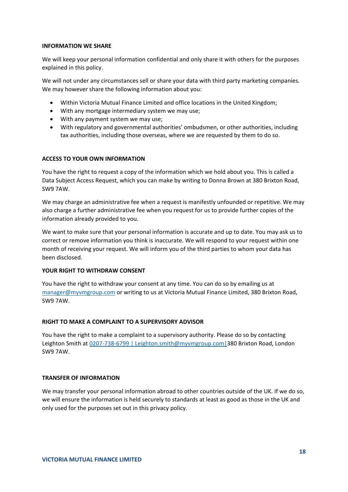### **INFORMATION WE SHARE**

We will keep your personal information confidential and only share it with others for the purposes explained in this policy.

We will not under any circumstances sell or share your data with third party marketing companies. We may however share the following information about you:

- Within Victoria Mutual Finance Limited and office locations in the United Kingdom;
- With any mortgage intermediary system we may use;
- With any payment system we may use;
- With regulatory and governmental authorities' ombudsmen, or other authorities, including tax authorities, including those overseas, where we are requested by them to do so.

### **ACCESS TO YOUR OWN INFORMATION**

You have the right to request a copy of the information which we hold about you. This is called a Data Subject Access Request, which you can make by writing to Donna Brown at 380 Brixton Road, SW9 7AW.

We may charge an administrative fee when a request is manifestly unfounded or repetitive. We may also charge a further administrative fee when you request for us to provide further copies of the information already provided to you.

We want to make sure that your personal information is accurate and up to date. You may ask us to correct or remove information you think is inaccurate. We will respond to your request within one month of receiving your request. We will inform you of the third parties to whom your data has been disclosed.

### **YOUR RIGHT TO WITHDRAW CONSENT**

You have the right to withdraw your consent at any time. You can do so by emailing us at [manager@myvmgroup.com](mailto:manager@myvmgroup.com) or writing to us at Victoria Mutual Finance Limited, 380 Brixton Road, SW9 7AW.

### **RIGHT TO MAKE A COMPLAINT TO A SUPERVISORY ADVISOR**

You have the right to make a complaint to a supervisory authority. Please do so by contacting Leighton Smith at [0207-738-6799 | Leighton.smith@myvmgroup.com|3](mailto:0207-738-6799%20%7C%20Leighton.smith@myvmgroup.com%7C)80 Brixton Road, London SW9 7AW.

### **TRANSFER OF INFORMATION**

We may transfer your personal information abroad to other countries outside of the UK. If we do so, we will ensure the information is held securely to standards at least as good as those in the UK and only used for the purposes set out in this privacy policy.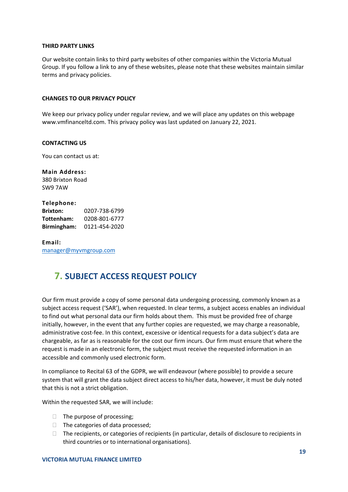### **THIRD PARTY LINKS**

Our website contain links to third party websites of other companies within the Victoria Mutual Group. If you follow a link to any of these websites, please note that these websites maintain similar terms and privacy policies.

#### **CHANGES TO OUR PRIVACY POLICY**

We keep our privacy policy under regular review, and we will place any updates on this webpage www.vmfinanceltd.com. This privacy policy was last updated on January 22, 2021.

#### **CONTACTING US**

You can contact us at:

**Main Address:** 380 Brixton Road SW9 7AW

### **Telephone: Brixton:** 0207-738-6799 **Tottenham:** 0208-801-6777 **Birmingham:** 0121-454-2020

**Email:** [manager@myvmgroup.com](mailto:manager@myvmgroup.com)

### <span id="page-18-0"></span>**7. SUBJECT ACCESS REQUEST POLICY**

Our firm must provide a copy of some personal data undergoing processing, commonly known as a subject access request ('SAR'), when requested. In clear terms, a subject access enables an individual to find out what personal data our firm holds about them. This must be provided free of charge initially, however, in the event that any further copies are requested, we may charge a reasonable, administrative cost-fee. In this context, excessive or identical requests for a data subject's data are chargeable, as far as is reasonable for the cost our firm incurs. Our firm must ensure that where the request is made in an electronic form, the subject must receive the requested information in an accessible and commonly used electronic form.

In compliance to Recital 63 of the GDPR, we will endeavour (where possible) to provide a secure system that will grant the data subject direct access to his/her data, however, it must be duly noted that this is not a strict obligation.

Within the requested SAR, we will include:

- $\Box$  The purpose of processing;
- $\Box$  The categories of data processed;
- $\Box$  The recipients, or categories of recipients (in particular, details of disclosure to recipients in third countries or to international organisations).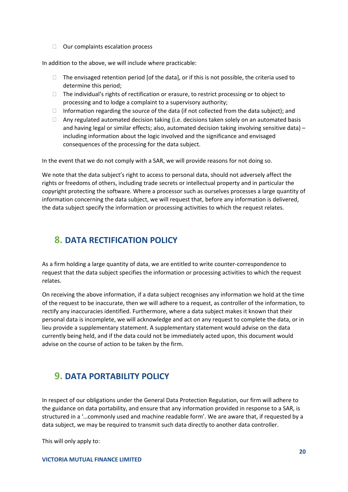$\Box$  Our complaints escalation process

In addition to the above, we will include where practicable:

- $\Box$  The envisaged retention period [of the data], or if this is not possible, the criteria used to determine this period;
- □ The individual's rights of rectification or erasure, to restrict processing or to object to processing and to lodge a complaint to a supervisory authority;
- $\Box$  Information regarding the source of the data (if not collected from the data subject); and
- $\Box$  Any regulated automated decision taking (i.e. decisions taken solely on an automated basis and having legal or similar effects; also, automated decision taking involving sensitive data) – including information about the logic involved and the significance and envisaged consequences of the processing for the data subject.

In the event that we do not comply with a SAR, we will provide reasons for not doing so.

We note that the data subject's right to access to personal data, should not adversely affect the rights or freedoms of others, including trade secrets or intellectual property and in particular the copyright protecting the software. Where a processor such as ourselves processes a large quantity of information concerning the data subject, we will request that, before any information is delivered, the data subject specify the information or processing activities to which the request relates.

### <span id="page-19-0"></span>**8. DATA RECTIFICATION POLICY**

As a firm holding a large quantity of data, we are entitled to write counter-correspondence to request that the data subject specifies the information or processing activities to which the request relates.

On receiving the above information, if a data subject recognises any information we hold at the time of the request to be inaccurate, then we will adhere to a request, as controller of the information, to rectify any inaccuracies identified. Furthermore, where a data subject makes it known that their personal data is incomplete, we will acknowledge and act on any request to complete the data, or in lieu provide a supplementary statement. A supplementary statement would advise on the data currently being held, and if the data could not be immediately acted upon, this document would advise on the course of action to be taken by the firm.

# <span id="page-19-1"></span>**9. DATA PORTABILITY POLICY**

In respect of our obligations under the General Data Protection Regulation, our firm will adhere to the guidance on data portability, and ensure that any information provided in response to a SAR, is structured in a '…commonly used and machine readable form'. We are aware that, if requested by a data subject, we may be required to transmit such data directly to another data controller.

This will only apply to: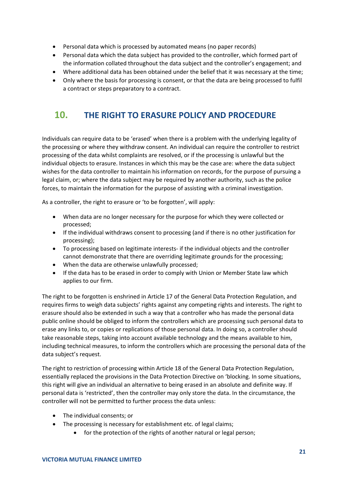- Personal data which is processed by automated means (no paper records)
- Personal data which the data subject has provided to the controller, which formed part of the information collated throughout the data subject and the controller's engagement; and
- Where additional data has been obtained under the belief that it was necessary at the time;
- Only where the basis for processing is consent, or that the data are being processed to fulfil a contract or steps preparatory to a contract.

# <span id="page-20-0"></span>**10. THE RIGHT TO ERASURE POLICY AND PROCEDURE**

Individuals can require data to be 'erased' when there is a problem with the underlying legality of the processing or where they withdraw consent. An individual can require the controller to restrict processing of the data whilst complaints are resolved, or if the processing is unlawful but the individual objects to erasure. Instances in which this may be the case are: where the data subject wishes for the data controller to maintain his information on records, for the purpose of pursuing a legal claim, or; where the data subject may be required by another authority, such as the police forces, to maintain the information for the purpose of assisting with a criminal investigation.

As a controller, the right to erasure or 'to be forgotten', will apply:

- When data are no longer necessary for the purpose for which they were collected or processed;
- If the individual withdraws consent to processing (and if there is no other justification for processing);
- To processing based on legitimate interests- if the individual objects and the controller cannot demonstrate that there are overriding legitimate grounds for the processing;
- When the data are otherwise unlawfully processed;
- If the data has to be erased in order to comply with Union or Member State law which applies to our firm.

The right to be forgotten is enshrined in Article 17 of the General Data Protection Regulation, and requires firms to weigh data subjects' rights against any competing rights and interests. The right to erasure should also be extended in such a way that a controller who has made the personal data public online should be obliged to inform the controllers which are processing such personal data to erase any links to, or copies or replications of those personal data. In doing so, a controller should take reasonable steps, taking into account available technology and the means available to him, including technical measures, to inform the controllers which are processing the personal data of the data subject's request.

The right to restriction of processing within Article 18 of the General Data Protection Regulation, essentially replaced the provisions in the Data Protection Directive on 'blocking. In some situations, this right will give an individual an alternative to being erased in an absolute and definite way. If personal data is 'restricted', then the controller may only store the data. In the circumstance, the controller will not be permitted to further process the data unless:

- The individual consents; or
- The processing is necessary for establishment etc. of legal claims;
	- for the protection of the rights of another natural or legal person;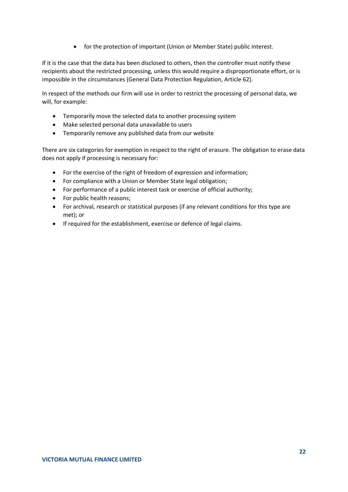• for the protection of important (Union or Member State) public interest.

If it is the case that the data has been disclosed to others, then the controller must notify these recipients about the restricted processing, unless this would require a disproportionate effort, or is impossible in the circumstances (General Data Protection Regulation, Article 62).

In respect of the methods our firm will use in order to restrict the processing of personal data, we will, for example:

- Temporarily move the selected data to another processing system
- Make selected personal data unavailable to users
- Temporarily remove any published data from our website

There are six categories for exemption in respect to the right of erasure. The obligation to erase data does not apply if processing is necessary for:

- For the exercise of the right of freedom of expression and information;
- For compliance with a Union or Member State legal obligation;
- For performance of a public interest task or exercise of official authority;
- For public health reasons;
- For archival, research or statistical purposes (if any relevant conditions for this type are met); or
- If required for the establishment, exercise or defence of legal claims.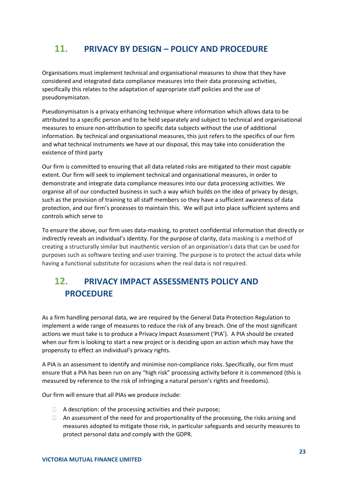# <span id="page-22-0"></span>**11. PRIVACY BY DESIGN – POLICY AND PROCEDURE**

Organisations must implement technical and organisational measures to show that they have considered and integrated data compliance measures into their data processing activities, specifically this relates to the adaptation of appropriate staff policies and the use of pseudonymisaton.

Pseudonymisaton is a privacy enhancing technique where information which allows data to be attributed to a specific person and to be held separately and subject to technical and organisational measures to ensure non-attribution to specific data subjects without the use of additional information. By technical and organisational measures, this just refers to the specifics of our firm and what technical instruments we have at our disposal, this may take into consideration the existence of third party

Our firm is committed to ensuring that all data related risks are mitigated to their most capable extent. Our firm will seek to implement technical and organisational measures, in order to demonstrate and integrate data compliance measures into our data processing activities. We organise all of our conducted business in such a way which builds on the idea of privacy by design, such as the provision of training to all staff members so they have a sufficient awareness of data protection, and our firm's processes to maintain this. We will put into place sufficient systems and controls which serve to

To ensure the above, our firm uses data-masking, to protect confidential information that directly or indirectly reveals an individual's identity. For the purpose of clarity, data masking is a method of creating a structurally similar but inauthentic version of an organisation's data that can be used for purposes such as software testing and user training. The purpose is to protect the actual data while having a functional substitute for occasions when the real data is not required.

# <span id="page-22-1"></span>**12. PRIVACY IMPACT ASSESSMENTS POLICY AND PROCEDURE**

As a firm handling personal data, we are required by the General Data Protection Regulation to implement a wide range of measures to reduce the risk of any breach. One of the most significant actions we must take is to produce a Privacy Impact Assessment ('PIA'). A PIA should be created when our firm is looking to start a new project or is deciding upon an action which may have the propensity to effect an individual's privacy rights.

A PIA is an assessment to identify and minimise non-compliance risks. Specifically, our firm must ensure that a PIA has been run on any "high risk" processing activity before it is commenced (this is measured by reference to the risk of infringing a natural person's rights and freedoms).

Our firm will ensure that all PIAs we produce include:

- $\Box$  A description: of the processing activities and their purpose;
- $\Box$  An assessment of the need for and proportionality of the processing, the risks arising and measures adopted to mitigate those risk, in particular safeguards and security measures to protect personal data and comply with the GDPR.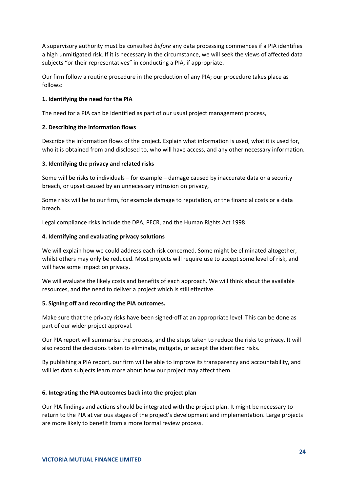A supervisory authority must be consulted *before* any data processing commences if a PIA identifies a high unmitigated risk. If it is necessary in the circumstance, we will seek the views of affected data subjects "or their representatives" in conducting a PIA, if appropriate.

Our firm follow a routine procedure in the production of any PIA; our procedure takes place as follows:

### **1. Identifying the need for the PIA**

The need for a PIA can be identified as part of our usual project management process,

### **2. Describing the information flows**

Describe the information flows of the project. Explain what information is used, what it is used for, who it is obtained from and disclosed to, who will have access, and any other necessary information.

### **3. Identifying the privacy and related risks**

Some will be risks to individuals – for example – damage caused by inaccurate data or a security breach, or upset caused by an unnecessary intrusion on privacy,

Some risks will be to our firm, for example damage to reputation, or the financial costs or a data breach.

Legal compliance risks include the DPA, PECR, and the Human Rights Act 1998.

### **4. Identifying and evaluating privacy solutions**

We will explain how we could address each risk concerned. Some might be eliminated altogether, whilst others may only be reduced. Most projects will require use to accept some level of risk, and will have some impact on privacy.

We will evaluate the likely costs and benefits of each approach. We will think about the available resources, and the need to deliver a project which is still effective.

### **5. Signing off and recording the PIA outcomes.**

Make sure that the privacy risks have been signed-off at an appropriate level. This can be done as part of our wider project approval.

Our PIA report will summarise the process, and the steps taken to reduce the risks to privacy. It will also record the decisions taken to eliminate, mitigate, or accept the identified risks.

By publishing a PIA report, our firm will be able to improve its transparency and accountability, and will let data subjects learn more about how our project may affect them.

### **6. Integrating the PIA outcomes back into the project plan**

Our PIA findings and actions should be integrated with the project plan. It might be necessary to return to the PIA at various stages of the project's development and implementation. Large projects are more likely to benefit from a more formal review process.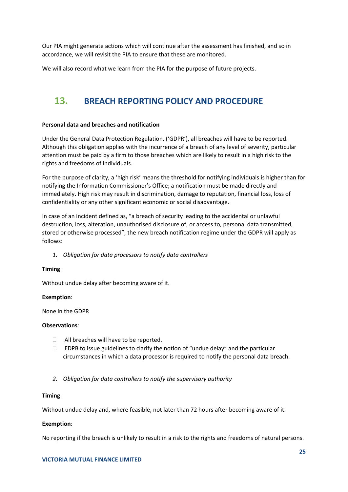Our PIA might generate actions which will continue after the assessment has finished, and so in accordance, we will revisit the PIA to ensure that these are monitored.

We will also record what we learn from the PIA for the purpose of future projects.

# <span id="page-24-0"></span>**13. BREACH REPORTING POLICY AND PROCEDURE**

### **Personal data and breaches and notification**

Under the General Data Protection Regulation, ('GDPR'), all breaches will have to be reported. Although this obligation applies with the incurrence of a breach of any level of severity, particular attention must be paid by a firm to those breaches which are likely to result in a high risk to the rights and freedoms of individuals.

For the purpose of clarity, a 'high risk' means the threshold for notifying individuals is higher than for notifying the Information Commissioner's Office; a notification must be made directly and immediately. High risk may result in discrimination, damage to reputation, financial loss, loss of confidentiality or any other significant economic or social disadvantage.

In case of an incident defined as, "a breach of security leading to the accidental or unlawful destruction, loss, alteration, unauthorised disclosure of, or access to, personal data transmitted, stored or otherwise processed", the new breach notification regime under the GDPR will apply as follows:

*1. Obligation for data processors to notify data controllers*

### **Timing**:

Without undue delay after becoming aware of it.

### **Exemption**:

None in the GDPR

### **Observations**:

- $\Box$  All breaches will have to be reported.
- $\Box$  EDPB to issue guidelines to clarify the notion of "undue delay" and the particular circumstances in which a data processor is required to notify the personal data breach.
- *2. Obligation for data controllers to notify the supervisory authority*

### **Timing**:

Without undue delay and, where feasible, not later than 72 hours after becoming aware of it.

### **Exemption**:

No reporting if the breach is unlikely to result in a risk to the rights and freedoms of natural persons.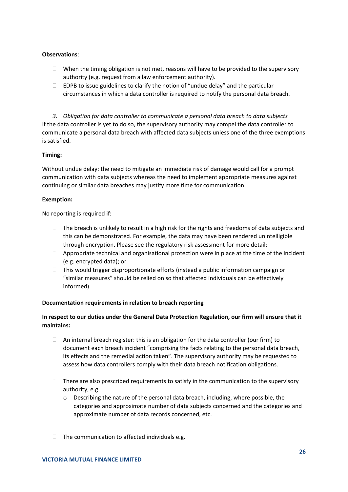### **Observations**:

- $\Box$  When the timing obligation is not met, reasons will have to be provided to the supervisory authority (e.g. request from a law enforcement authority).
- $\Box$  EDPB to issue guidelines to clarify the notion of "undue delay" and the particular circumstances in which a data controller is required to notify the personal data breach.

*3. Obligation for data controller to communicate a personal data breach to data subjects* If the data controller is yet to do so, the supervisory authority may compel the data controller to communicate a personal data breach with affected data subjects unless one of the three exemptions is satisfied.

### **Timing:**

Without undue delay: the need to mitigate an immediate risk of damage would call for a prompt communication with data subjects whereas the need to implement appropriate measures against continuing or similar data breaches may justify more time for communication.

### **Exemption:**

No reporting is required if:

- $\Box$  The breach is unlikely to result in a high risk for the rights and freedoms of data subjects and this can be demonstrated. For example, the data may have been rendered unintelligible through encryption. Please see the regulatory risk assessment for more detail;
- $\Box$  Appropriate technical and organisational protection were in place at the time of the incident (e.g. encrypted data); or
- $\Box$  This would trigger disproportionate efforts (instead a public information campaign or "similar measures" should be relied on so that affected individuals can be effectively informed)

### **Documentation requirements in relation to breach reporting**

### **In respect to our duties under the General Data Protection Regulation, our firm will ensure that it maintains:**

- $\Box$  An internal breach register: this is an obligation for the data controller (our firm) to document each breach incident "comprising the facts relating to the personal data breach, its effects and the remedial action taken". The supervisory authority may be requested to assess how data controllers comply with their data breach notification obligations.
- $\Box$  There are also prescribed requirements to satisfy in the communication to the supervisory authority, e.g.
	- o Describing the nature of the personal data breach, including, where possible, the categories and approximate number of data subjects concerned and the categories and approximate number of data records concerned, etc.
- $\Box$  The communication to affected individuals e.g.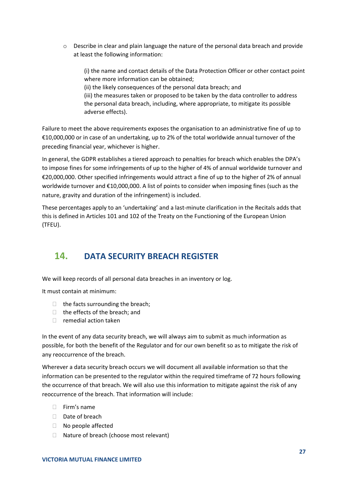o Describe in clear and plain language the nature of the personal data breach and provide at least the following information:

(i) the name and contact details of the Data Protection Officer or other contact point where more information can be obtained;

(ii) the likely consequences of the personal data breach; and

(iii) the measures taken or proposed to be taken by the data controller to address the personal data breach, including, where appropriate, to mitigate its possible adverse effects).

Failure to meet the above requirements exposes the organisation to an administrative fine of up to €10,000,000 or in case of an undertaking, up to 2% of the total worldwide annual turnover of the preceding financial year, whichever is higher.

In general, the GDPR establishes a tiered approach to penalties for breach which enables the DPA's to impose fines for some infringements of up to the higher of 4% of annual worldwide turnover and €20,000,000. Other specified infringements would attract a fine of up to the higher of 2% of annual worldwide turnover and €10,000,000. A list of points to consider when imposing fines (such as the nature, gravity and duration of the infringement) is included.

These percentages apply to an 'undertaking' and a last-minute clarification in the Recitals adds that this is defined in Articles 101 and 102 of the Treaty on the Functioning of the European Union (TFEU).

# <span id="page-26-0"></span>**14. DATA SECURITY BREACH REGISTER**

We will keep records of all personal data breaches in an inventory or log.

It must contain at minimum:

- $\Box$  the facts surrounding the breach;
- $\Box$  the effects of the breach; and
- $\Box$  remedial action taken

In the event of any data security breach, we will always aim to submit as much information as possible, for both the benefit of the Regulator and for our own benefit so as to mitigate the risk of any reoccurrence of the breach.

Wherever a data security breach occurs we will document all available information so that the information can be presented to the regulator within the required timeframe of 72 hours following the occurrence of that breach. We will also use this information to mitigate against the risk of any reoccurrence of the breach. That information will include:

- $\Box$  Firm's name
- Date of breach
- □ No people affected
- □ Nature of breach (choose most relevant)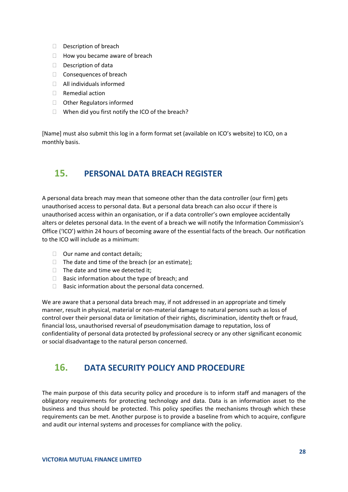- Description of breach
- $\Box$  How you became aware of breach
- $\Box$  Description of data
- □ Consequences of breach
- $\Box$  All individuals informed
- □ Remedial action
- □ Other Regulators informed
- $\Box$  When did you first notify the ICO of the breach?

[Name] must also submit this log in a form format set (available on ICO's website) to ICO, on a monthly basis.

### <span id="page-27-0"></span>**15. PERSONAL DATA BREACH REGISTER**

A personal data breach may mean that someone other than the data controller (our firm) gets unauthorised access to personal data. But a personal data breach can also occur if there is unauthorised access within an organisation, or if a data controller's own employee accidentally alters or deletes personal data. In the event of a breach we will notify the Information Commission's Office ('ICO') within 24 hours of becoming aware of the essential facts of the breach. Our notification to the ICO will include as a minimum:

- $\Box$  Our name and contact details;
- $\Box$  The date and time of the breach (or an estimate);
- $\Box$  The date and time we detected it;
- $\Box$  Basic information about the type of breach; and
- $\Box$  Basic information about the personal data concerned.

We are aware that a personal data breach may, if not addressed in an appropriate and timely manner, result in physical, material or non-material damage to natural persons such as loss of control over their personal data or limitation of their rights, discrimination, identity theft or fraud, financial loss, unauthorised reversal of pseudonymisation damage to reputation, loss of confidentiality of personal data protected by professional secrecy or any other significant economic or social disadvantage to the natural person concerned.

### <span id="page-27-1"></span>**16. DATA SECURITY POLICY AND PROCEDURE**

The main purpose of this data security policy and procedure is to inform staff and managers of the obligatory requirements for protecting technology and data. Data is an information asset to the business and thus should be protected. This policy specifies the mechanisms through which these requirements can be met. Another purpose is to provide a baseline from which to acquire, configure and audit our internal systems and processes for compliance with the policy.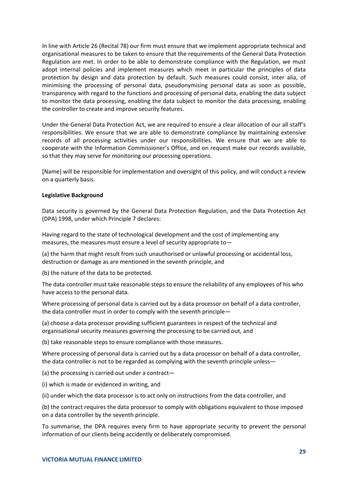In line with Article 26 (Recital 78) our firm must ensure that we implement appropriate technical and organisational measures to be taken to ensure that the requirements of the General Data Protection Regulation are met. In order to be able to demonstrate compliance with the Regulation, we must adopt internal policies and implement measures which meet in particular the principles of data protection by design and data protection by default. Such measures could consist, inter alia, of minimising the processing of personal data, pseudonymising personal data as soon as possible, transparency with regard to the functions and processing of personal data, enabling the data subject to monitor the data processing, enabling the data subject to monitor the data processing, enabling the controller to create and improve security features.

Under the General Data Protection Act, we are required to ensure a clear allocation of our all staff's responsibilities. We ensure that we are able to demonstrate compliance by maintaining extensive records of all processing activities under our responsibilities. We ensure that we are able to cooperate with the Information Commissioner's Office, and on request make our records available, so that they may serve for monitoring our processing operations.

[Name] will be responsible for implementation and oversight of this policy, and will conduct a review on a quarterly basis.

### **Legislative Background**

Data security is governed by the General Data Protection Regulation, and the Data Protection Act (DPA) 1998, under which Principle 7 declares:

Having regard to the state of technological development and the cost of implementing any measures, the measures must ensure a level of security appropriate to—

(a) the harm that might result from such unauthorised or unlawful processing or accidental loss, destruction or damage as are mentioned in the seventh principle, and

(b) the nature of the data to be protected.

The data controller must take reasonable steps to ensure the reliability of any employees of his who have access to the personal data.

Where processing of personal data is carried out by a data processor on behalf of a data controller, the data controller must in order to comply with the seventh principle—

(a) choose a data processor providing sufficient guarantees in respect of the technical and organisational security measures governing the processing to be carried out, and

(b) take reasonable steps to ensure compliance with those measures.

Where processing of personal data is carried out by a data processor on behalf of a data controller, the data controller is not to be regarded as complying with the seventh principle unless—

(a) the processing is carried out under a contract—

(i) which is made or evidenced in writing, and

(ii) under which the data processor is to act only on instructions from the data controller, and

(b) the contract requires the data processor to comply with obligations equivalent to those imposed on a data controller by the seventh principle.

To summarise, the DPA requires every firm to have appropriate security to prevent the personal information of our clients being accidently or deliberately compromised.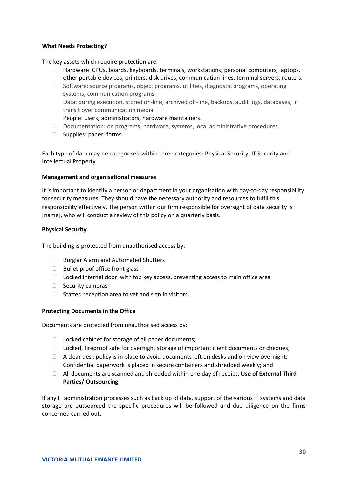### **What Needs Protecting?**

The key assets which require protection are:

- $\Box$  Hardware: CPUs, boards, keyboards, terminals, workstations, personal computers, laptops, other portable devices, printers, disk drives, communication lines, terminal servers, routers.
- $\Box$  Software: source programs, object programs, utilities, diagnostic programs, operating systems, communication programs.
- $\Box$  Data: during execution, stored on-line, archived off-line, backups, audit logs, databases, in transit over communication media.
- $\Box$  People: users, administrators, hardware maintainers.
- $\Box$  Documentation: on programs, hardware, systems, local administrative procedures.
- $\Box$  Supplies: paper, forms.

Each type of data may be categorised within three categories: Physical Security, IT Security and Intellectual Property.

### **Management and organisational measures**

It is important to identify a person or department in your organisation with day-to-day responsibility for security measures. They should have the necessary authority and resources to fulfil this responsibility effectively. The person within our firm responsible for oversight of data security is [name], who will conduct a review of this policy on a quarterly basis.

### **Physical Security**

The building is protected from unauthorised access by:

- □ Burglar Alarm and Automated Shutters
- $\Box$  Bullet proof office front glass
- $\Box$  Locked internal door with fob key access, preventing access to main office area
- $\Box$  Security cameras
- $\Box$  Staffed reception area to vet and sign in visitors.

### **Protecting Documents in the Office**

Documents are protected from unauthorised access by:

- $\Box$  Locked cabinet for storage of all paper documents;
- □ Locked, fireproof safe for overnight storage of important client documents or cheques;
- $\Box$  A clear desk policy is in place to avoid documents left on desks and on view overnight;
- $\Box$  Confidential paperwork is placed in secure containers and shredded weekly; and
- All documents are scanned and shredded within one day of receipt**. Use of External Third Parties/ Outsourcing**

If any IT administration processes such as back up of data, support of the various IT systems and data storage are outsourced the specific procedures will be followed and due diligence on the firms concerned carried out.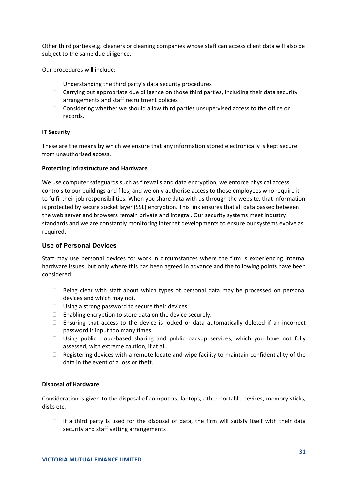Other third parties e.g. cleaners or cleaning companies whose staff can access client data will also be subject to the same due diligence.

Our procedures will include:

- $\Box$  Understanding the third party's data security procedures
- $\Box$  Carrying out appropriate due diligence on those third parties, including their data security arrangements and staff recruitment policies
- $\Box$  Considering whether we should allow third parties unsupervised access to the office or records.

### **IT Security**

These are the means by which we ensure that any information stored electronically is kept secure from unauthorised access.

### **Protecting Infrastructure and Hardware**

We use computer safeguards such as firewalls and data encryption, we enforce physical access controls to our buildings and files, and we only authorise access to those employees who require it to fulfil their job responsibilities. When you share data with us through the website, that information is protected by secure socket layer (SSL) encryption. This link ensures that all data passed between the web server and browsers remain private and integral. Our security systems meet industry standards and we are constantly monitoring internet developments to ensure our systems evolve as required.

### **Use of Personal Devices**

Staff may use personal devices for work in circumstances where the firm is experiencing internal hardware issues, but only where this has been agreed in advance and the following points have been considered:

- $\Box$  Being clear with staff about which types of personal data may be processed on personal devices and which may not.
- $\Box$  Using a strong password to secure their devices.
- $\Box$  Enabling encryption to store data on the device securely.
- $\Box$  Ensuring that access to the device is locked or data automatically deleted if an incorrect password is input too many times.
- $\Box$  Using public cloud-based sharing and public backup services, which you have not fully assessed, with extreme caution, if at all.
- $\Box$  Registering devices with a remote locate and wipe facility to maintain confidentiality of the data in the event of a loss or theft.

### **Disposal of Hardware**

Consideration is given to the disposal of computers, laptops, other portable devices, memory sticks, disks etc.

 $\Box$  If a third party is used for the disposal of data, the firm will satisfy itself with their data security and staff vetting arrangements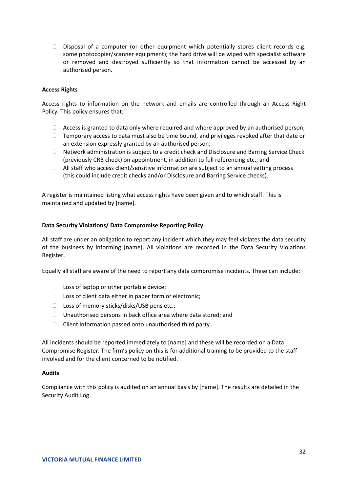$\Box$  Disposal of a computer (or other equipment which potentially stores client records e.g. some photocopier/scanner equipment); the hard drive will be wiped with specialist software or removed and destroyed sufficiently so that information cannot be accessed by an authorised person.

### **Access Rights**

Access rights to information on the network and emails are controlled through an Access Right Policy. This policy ensures that:

- $\Box$  Access is granted to data only where required and where approved by an authorised person;
- $\Box$  Temporary access to data must also be time bound, and privileges revoked after that date or an extension expressly granted by an authorised person;
- $\Box$  Network administration is subject to a credit check and Disclosure and Barring Service Check (previously CRB check) on appointment, in addition to full referencing etc.; and
- $\Box$  All staff who access client/sensitive information are subject to an annual vetting process (this could include credit checks and/or Disclosure and Barring Service checks).

A register is maintained listing what access rights have been given and to which staff. This is maintained and updated by [name].

### **Data Security Violations/ Data Compromise Reporting Policy**

All staff are under an obligation to report any incident which they may feel violates the data security of the business by informing [name]. All violations are recorded in the Data Security Violations Register.

Equally all staff are aware of the need to report any data compromise incidents. These can include:

- $\Box$  Loss of laptop or other portable device;
- $\Box$  Loss of client data either in paper form or electronic;
- □ Loss of memory sticks/disks/USB pens etc.;
- $\Box$  Unauthorised persons in back office area where data stored; and
- $\Box$  Client information passed onto unauthorised third party.

All incidents should be reported immediately to [name] and these will be recorded on a Data Compromise Register. The firm's policy on this is for additional training to be provided to the staff involved and for the client concerned to be notified.

### **Audits**

Compliance with this policy is audited on an annual basis by [name]. The results are detailed in the Security Audit Log.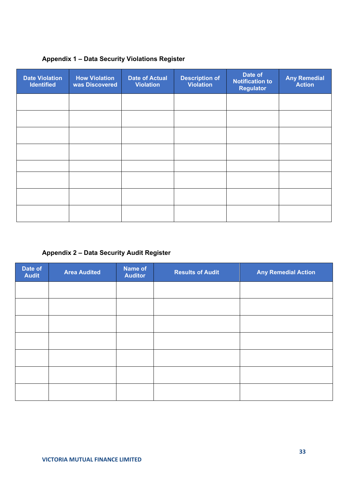### **Appendix 1 – Data Security Violations Register**

| <b>Date Violation</b><br><b>Identified</b> | <b>How Violation</b><br>was Discovered | <b>Date of Actual</b><br><b>Violation</b> | <b>Description of</b><br><b>Violation</b> | Date of<br><b>Notification to</b><br><b>Regulator</b> | <b>Any Remedial</b><br><b>Action</b> |
|--------------------------------------------|----------------------------------------|-------------------------------------------|-------------------------------------------|-------------------------------------------------------|--------------------------------------|
|                                            |                                        |                                           |                                           |                                                       |                                      |
|                                            |                                        |                                           |                                           |                                                       |                                      |
|                                            |                                        |                                           |                                           |                                                       |                                      |
|                                            |                                        |                                           |                                           |                                                       |                                      |
|                                            |                                        |                                           |                                           |                                                       |                                      |
|                                            |                                        |                                           |                                           |                                                       |                                      |
|                                            |                                        |                                           |                                           |                                                       |                                      |
|                                            |                                        |                                           |                                           |                                                       |                                      |

### **Appendix 2 – Data Security Audit Register**

| Date of<br><b>Audit</b> | <b>Area Audited</b> | Name of<br><b>Auditor</b> | <b>Results of Audit</b> | <b>Any Remedial Action</b> |
|-------------------------|---------------------|---------------------------|-------------------------|----------------------------|
|                         |                     |                           |                         |                            |
|                         |                     |                           |                         |                            |
|                         |                     |                           |                         |                            |
|                         |                     |                           |                         |                            |
|                         |                     |                           |                         |                            |
|                         |                     |                           |                         |                            |
|                         |                     |                           |                         |                            |